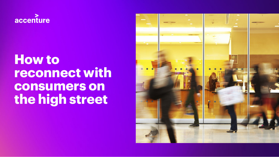

# **How to reconnect with consumers on the high street**

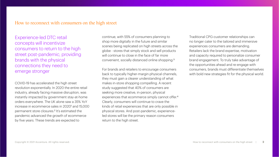# How to reconnect with consumers on the high street

Experience-led DTC retail concepts will incentivize consumers to return to the high street post-pandemic, providing brands with the physical connections they need to emerge stronger

COVID-19 has accelerated the high street revolution exponentially. In 2020 the entire retail industry, already facing massive disruption, was instantly impacted by government stay-at-home orders everywhere. The UK alone saw a 35% YoY increase in ecommerce sales in 2020<sup>1</sup> and 15,000 permanent store closures.<sup>2</sup> It's estimated the pandemic advanced the growth of ecommerce by five years. These trends are expected to

continue, with 55% of consumers planning to shop more digitally in the future and similar scenes being replicated on high streets across the globe - stores that simply stock and sell products will continue to close in the face of far more convenient, socially distanced online shopping.<sup>3</sup>

For brands and retailers to encourage consumers back to typically higher-margin physical channels, they must gain a clearer understanding of what makes in-store shopping compelling. A recent study suggested that 40% of consumers are seeking more creative, in-person, physical experiences that ecommerce simply cannot offer.<sup>4</sup> Clearly, consumers will continue to crave the kinds of retail experiences that are only possible in physical stores. And post-pandemic, experienceled stores will be the primary reason consumers return to the high street.

Traditional CPG-customer relationships can no longer cater to the tailored and immersive experiences consumers are demanding. Retailers lack the brand expertise, motivation and capacity required to personalize consumer brand engagement. To truly take advantage of the opportunities ahead and re-engage with consumers, brands must differentiate themselves with bold new strategies fit for the physical world.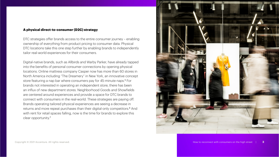# **A physical direct-to-consumer (D2C) strategy**

DTC strategies offer brands access to the entire consumer journey – enabling ownership of everything from product pricing to consumer data. Physical DTC locations take this one step further by enabling brands to independently tailor real-world experiences for their consumers.

Digital-native brands, such as Allbirds and Warby Parker, have already tapped into the benefits of personal consumer connections by opening physical locations. Online mattress company Casper now has more than 60 stores in North America including "The Dreamery" in New York, an innovative concept store featuring a nap bar where consumers pay for 45-minute naps.<sup>5</sup> For brands not interested in operating an independent store, there has been an influx of new department stores. Neighborhood Goods and Showfields are centered around experiences and provide a space for DTC brands to connect with consumers in the real-world. These strategies are paying off. Brands operating tailored physical experiences are seeing a decrease in returns and more repeat purchases than their digital-only competitors.6 And with rent for retail spaces falling, now is the time for brands to explore this clear opportunity.7

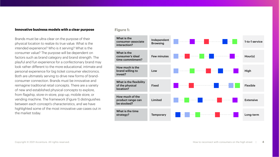# **Innovative business models with a clear purpose**

Brands must be ultra-clear on the purpose of their physical location to realize its true value. What is the intended experience? Who is it serving? What is the consumer value? The purpose will be dependent on factors such as brand category and brand strength. The playful and fun experience for a confectionary brand may look rather different to the more educational, intimate and personal experience for big ticket consumer electronics. Both are ultimately serving to drive new forms of brandconsumer connection. Brands must be innovative and reimagine traditional retail concepts. There are a variety of new and established physical concepts to explore, from flagship, store-in-store, pop-up, mobile store, or vending machine. The framework (Figure 1) distinguishes between each concept's characteristics, and we have highlighted some of the most innovative use-cases out in the market today.

# **Figure 1:**

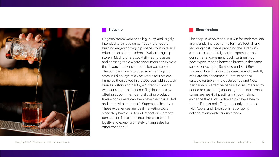

## **Flagship**

Flagship stores were once big, busy, and largely intended to shift volumes. Today, brands are building engaging flagship spaces to inspire and educate consumers. Johnnie Walker's flagship store in Madrid offers cocktail making classes and a tasting table where consumers can explore the flavors that constitute the famous scotch 8 The company plans to open a bigger flagship store in Edinburgh this year where tourists can immerse themselves in the 200-year-old Scottish brand's history and heritage.9 Dyson connects with consumers at its Demo flagship stores by offering appointments and allowing product trials – consumers can even have their hair styled and dried with the brand's Supersonic hairdryer. These experiences are ideal marketing tools since they have a profound impact on a brand's consumers. The experiences increase brand loyalty and equity, ultimately driving sales for other channels.<sup>10</sup>

# **Shop-in-shop**

The shop-in-shop model is a win for both retailers and brands, increasing the former's footfall and reducing costs, while providing the latter with a space to completely control operations and consumer engagement. Such partnerships have typically been between brands in the same sector, for example Samsung and Best Buy. However, brands should be creative and carefully evaluate the consumer journey to choose suitable partners - the Costa coffee and Next partnership is effective because consumers enjoy coffee breaks during shopping trips. Department stores are heavily investing in shop-in-shop, evidence that such partnerships have a healthy future. For example, Target recently partnered with Apple, and Nordstrom has ongoing collaborations with various brands.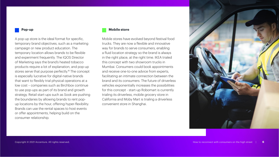#### **Pop-up**

A pop-up store is the ideal format for specific, temporary brand objectives, such as a marketing campaign or new product education. The temporary location allows brands to be flexible and experiment frequently. The IQOS Director of Marketing says the brand's heated tobacco products require a lot of explanation, and pop-up stores serve that purpose perfectly.<sup>11</sup> The concept is especially lucrative for digital-native brands that want to flexibly trial physical operations at a low cost – companies such as Birchbox continue to use pop-ups as part of its brand and growth strategy. Retail start-ups such as Sook are pushing the boundaries by allowing brands to rent popup locations by the hour, offering hyper-flexibility. Brands can use the rental spaces to host events or offer appointments, helping build on the consumer relationship.

## **Mobile store**

Mobile stores have evolved beyond festival food trucks. They are now a flexible and innovative way for brands to serve consumers, enabling a fluid location strategy so the brand is always in the right place, at the right time. IKEA trialed this concept with two showroom trucks in Mumbai. Consumers could book appointments and receive one-to-one advice from experts, facilitating an intimate connection between the brand and its consumers. The future of driverless vehicles exponentially increases the possibilities for this concept - start-up Robomart is currently trialing its driverless, mobile grocery store in California and Moby Mart is trialing a driverless convenient store in Shanghai.

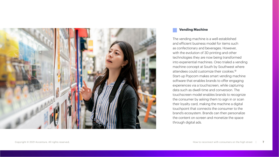

# **Vending Machine**

The vending machine is a well-established and efficient business model for items such as confectionary and beverages. However, with the evolution of 3D printing and other technologies they are now being transformed into experiential machines. Oreo trialed a vending machine concept at South by Southwest where attendees could customize their cookies<sup>12</sup> Start-up Popcom makes smart vending machine software that enables brands to offer engaging experiences via a touchscreen, while capturing data such as dwell-time and conversion. The touchscreen model enables brands to recognize the consumer by asking them to sign in or scan their loyalty card, making the machine a digital touchpoint that connects the consumer to the brand's ecosystem. Brands can then personalize the content on-screen and monetize the space through digital ads.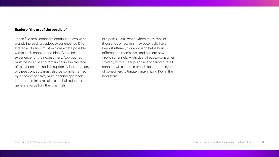### **Explore "the art of the possible"**

These five retail concepts continue to evolve as brands increasingly adopt experience-led DTC strategies. Brands must explore what's possible within each concept and identify the best experience for their consumers. Approaches must be iterative and remain flexible in the face of market chance and disruption. Adoption of any of these concepts must also be complemented by a comprehensive, multi-channel approach in order to minimize sales cannibalization and generate value for other channels.

In a post-COVID world where many tens of thousands of retailers may potentially have been shuttered, this approach helps brands differentiate themselves and explore new growth channels. A physical direct-to-consumer strategy with a clear purpose and tailored retail concept will set these brands apart in the eyes of consumers, ultimately maximizing ROI in the long-term.